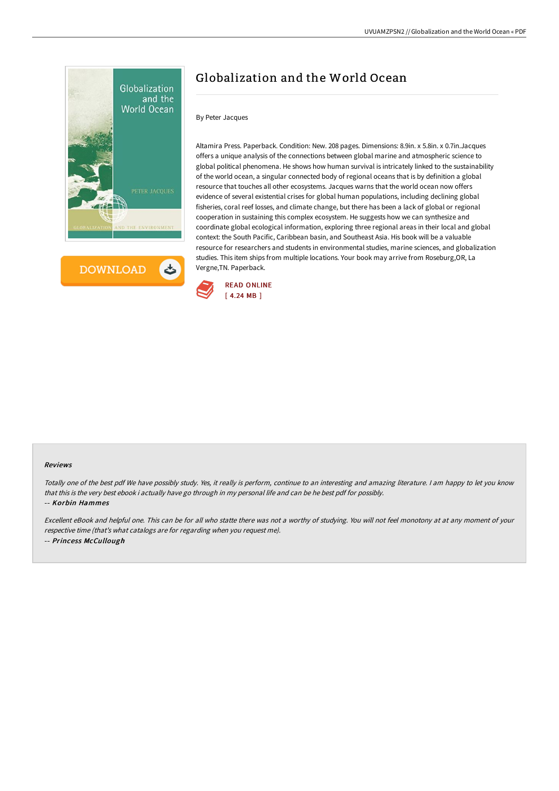

**DOWNLOAD** 

# Globalization and the World Ocean

# By Peter Jacques

Altamira Press. Paperback. Condition: New. 208 pages. Dimensions: 8.9in. x 5.8in. x 0.7in.Jacques offers a unique analysis of the connections between global marine and atmospheric science to global political phenomena. He shows how human survival is intricately linked to the sustainability of the world ocean, a singular connected body of regional oceans that is by definition a global resource that touches all other ecosystems. Jacques warns that the world ocean now offers evidence of several existential crises for global human populations, including declining global fisheries, coral reef losses, and climate change, but there has been a lack of global or regional cooperation in sustaining this complex ecosystem. He suggests how we can synthesize and coordinate global ecological information, exploring three regional areas in their local and global context: the South Pacific, Caribbean basin, and Southeast Asia. His book will be a valuable resource for researchers and students in environmental studies, marine sciences, and globalization studies. This item ships from multiple locations. Your book may arrive from Roseburg,OR, La Vergne,TN. Paperback.



### Reviews

Totally one of the best pdf We have possibly study. Yes, it really is perform, continue to an interesting and amazing literature. <sup>I</sup> am happy to let you know that this is the very best ebook i actually have go through in my personal life and can be he best pdf for possibly.

#### -- Korbin Hammes

Excellent eBook and helpful one. This can be for all who statte there was not <sup>a</sup> worthy of studying. You will not feel monotony at at any moment of your respective time (that's what catalogs are for regarding when you request me). -- Princess McCullough